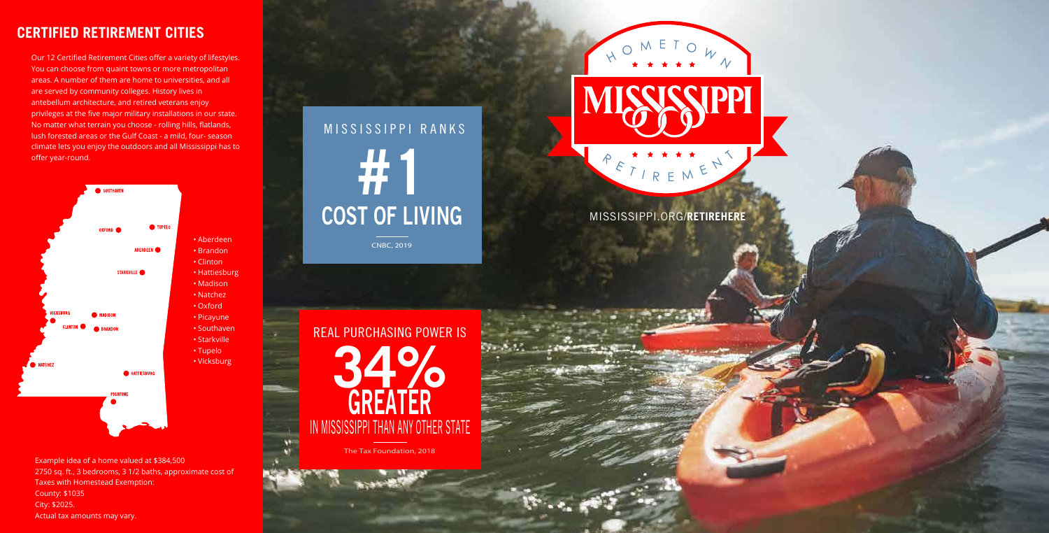MISSISSIPPI.ORG/**RETIREHERE**



Our 12 Certified Retirement Cities offer a variety of lifestyles. You can choose from quaint towns or more metropolitan areas. A number of them are home to universities, and all are served by community colleges. History lives in antebellum architecture, and retired veterans enjoy privileges at the five major military installations in our state. No matter what terrain you choose - rolling hills, flatlands, lush forested areas or the Gulf Coast - a mild, four- season climate lets you enjoy the outdoors and all Mississippi has to offer year-round.

> REAL PURCHASING POWER IS **GREATER** IN MISSISSIPPI THAN ANY OTHER STATE



# **CERTIFIED RETIREMENT CITIES**

Example idea of a home valued at \$384,500 2750 sq. ft., 3 bedrooms, 3 1/2 baths, approximate cost of Taxes with Homestead Exemption: County: \$1035 City: \$2025. Actual tax amounts may vary.

CNBC, 2019

# MISSISSIPPI RANKS **COST OF LIVING #1**

The Tax Foundation, 2018

 $N =$ 

# ETIREMEN